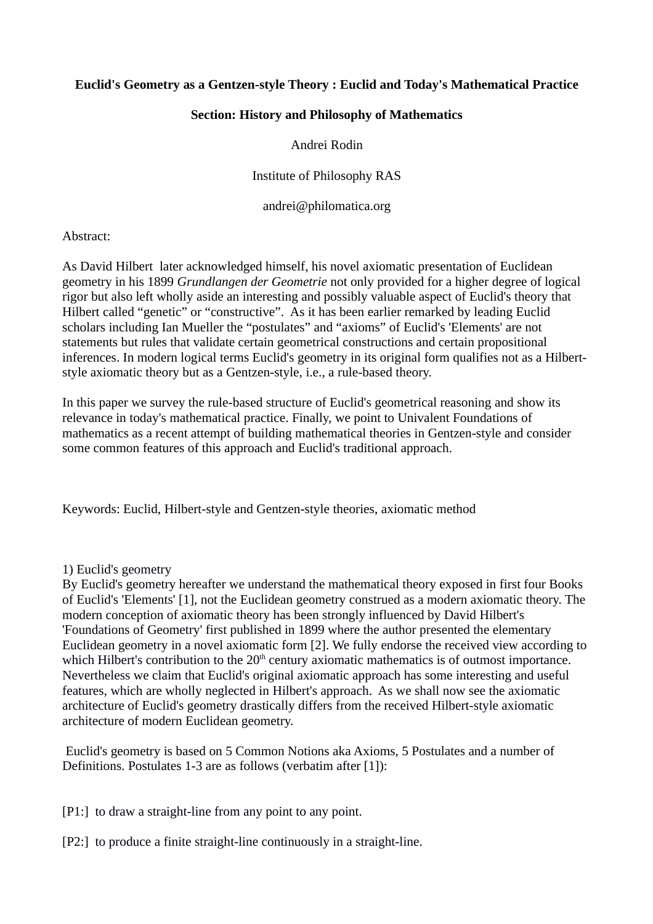# **Euclid's Geometry as a Gentzen-style Theory : Euclid and Today's Mathematical Practice**

### **Section: History and Philosophy of Mathematics**

### Andrei Rodin

Institute of Philosophy RAS

andrei@philomatica.org

Abstract:

As David Hilbert later acknowledged himself, his novel axiomatic presentation of Euclidean geometry in his 1899 *Grundlangen der Geometrie* not only provided for a higher degree of logical rigor but also left wholly aside an interesting and possibly valuable aspect of Euclid's theory that Hilbert called "genetic" or "constructive". As it has been earlier remarked by leading Euclid scholars including Ian Mueller the "postulates" and "axioms" of Euclid's 'Elements' are not statements but rules that validate certain geometrical constructions and certain propositional inferences. In modern logical terms Euclid's geometry in its original form qualifies not as a Hilbertstyle axiomatic theory but as a Gentzen-style, i.e., a rule-based theory.

In this paper we survey the rule-based structure of Euclid's geometrical reasoning and show its relevance in today's mathematical practice. Finally, we point to Univalent Foundations of mathematics as a recent attempt of building mathematical theories in Gentzen-style and consider some common features of this approach and Euclid's traditional approach.

Keywords: Euclid, Hilbert-style and Gentzen-style theories, axiomatic method

#### 1) Euclid's geometry

By Euclid's geometry hereafter we understand the mathematical theory exposed in first four Books of Euclid's 'Elements' [1], not the Euclidean geometry construed as a modern axiomatic theory. The modern conception of axiomatic theory has been strongly influenced by David Hilbert's 'Foundations of Geometry' first published in 1899 where the author presented the elementary Euclidean geometry in a novel axiomatic form [2]. We fully endorse the received view according to which Hilbert's contribution to the  $20<sup>th</sup>$  century axiomatic mathematics is of outmost importance. Nevertheless we claim that Euclid's original axiomatic approach has some interesting and useful features, which are wholly neglected in Hilbert's approach. As we shall now see the axiomatic architecture of Euclid's geometry drastically differs from the received Hilbert-style axiomatic architecture of modern Euclidean geometry.

 Euclid's geometry is based on 5 Common Notions aka Axioms, 5 Postulates and a number of Definitions. Postulates 1-3 are as follows (verbatim after [1]):

[P1:] to draw a straight-line from any point to any point.

[P2:] to produce a finite straight-line continuously in a straight-line.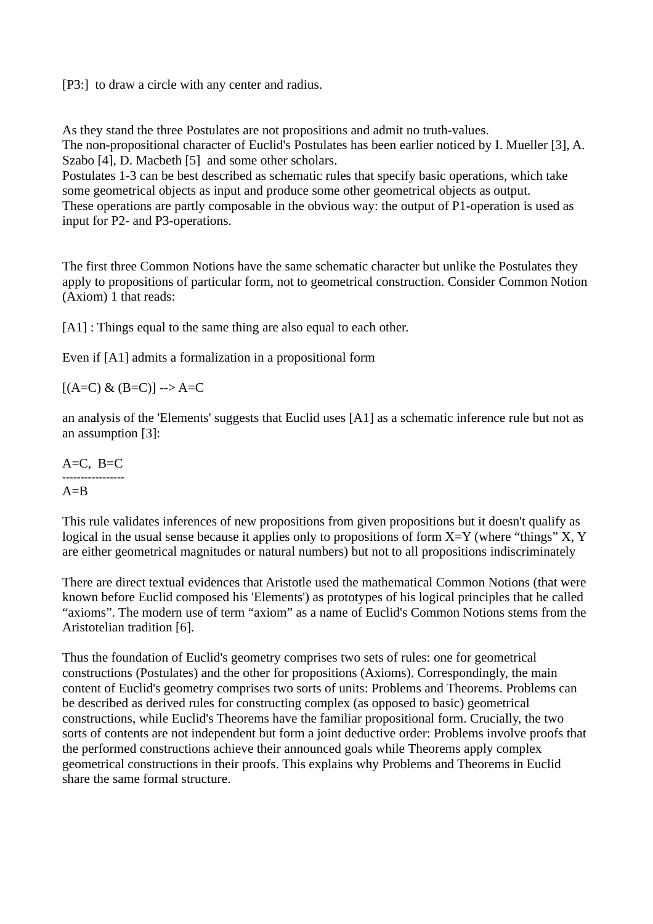[P3:] to draw a circle with any center and radius.

As they stand the three Postulates are not propositions and admit no truth-values. The non-propositional character of Euclid's Postulates has been earlier noticed by I. Mueller [3], A. Szabo [4], D. Macbeth [5] and some other scholars.

Postulates 1-3 can be best described as schematic rules that specify basic operations, which take some geometrical objects as input and produce some other geometrical objects as output. These operations are partly composable in the obvious way: the output of P1-operation is used as input for P2- and P3-operations.

The first three Common Notions have the same schematic character but unlike the Postulates they apply to propositions of particular form, not to geometrical construction. Consider Common Notion (Axiom) 1 that reads:

[A1] : Things equal to the same thing are also equal to each other.

Even if [A1] admits a formalization in a propositional form

 $[(A=C) \& (B=C)]$  --> A=C

an analysis of the 'Elements' suggests that Euclid uses [A1] as a schematic inference rule but not as an assumption [3]:

 $A=C$ ,  $B=C$ -----------------  $A = B$ 

This rule validates inferences of new propositions from given propositions but it doesn't qualify as logical in the usual sense because it applies only to propositions of form X=Y (where "things" X, Y are either geometrical magnitudes or natural numbers) but not to all propositions indiscriminately

There are direct textual evidences that Aristotle used the mathematical Common Notions (that were known before Euclid composed his 'Elements') as prototypes of his logical principles that he called "axioms". The modern use of term "axiom" as a name of Euclid's Common Notions stems from the Aristotelian tradition [6].

Thus the foundation of Euclid's geometry comprises two sets of rules: one for geometrical constructions (Postulates) and the other for propositions (Axioms). Correspondingly, the main content of Euclid's geometry comprises two sorts of units: Problems and Theorems. Problems can be described as derived rules for constructing complex (as opposed to basic) geometrical constructions, while Euclid's Theorems have the familiar propositional form. Crucially, the two sorts of contents are not independent but form a joint deductive order: Problems involve proofs that the performed constructions achieve their announced goals while Theorems apply complex geometrical constructions in their proofs. This explains why Problems and Theorems in Euclid share the same formal structure.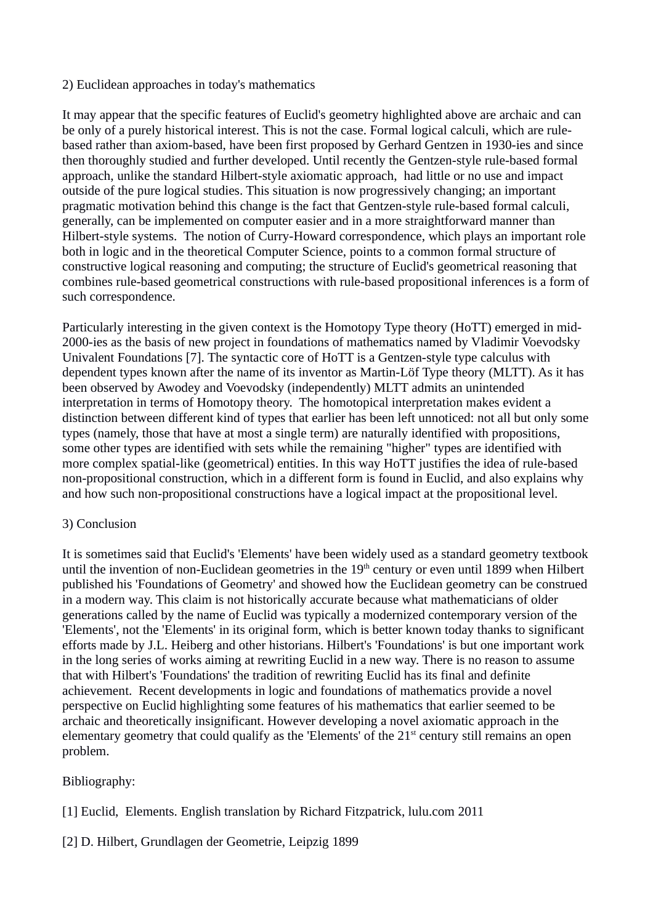### 2) Euclidean approaches in today's mathematics

It may appear that the specific features of Euclid's geometry highlighted above are archaic and can be only of a purely historical interest. This is not the case. Formal logical calculi, which are rulebased rather than axiom-based, have been first proposed by Gerhard Gentzen in 1930-ies and since then thoroughly studied and further developed. Until recently the Gentzen-style rule-based formal approach, unlike the standard Hilbert-style axiomatic approach, had little or no use and impact outside of the pure logical studies. This situation is now progressively changing; an important pragmatic motivation behind this change is the fact that Gentzen-style rule-based formal calculi, generally, can be implemented on computer easier and in a more straightforward manner than Hilbert-style systems. The notion of Curry-Howard correspondence, which plays an important role both in logic and in the theoretical Computer Science, points to a common formal structure of constructive logical reasoning and computing; the structure of Euclid's geometrical reasoning that combines rule-based geometrical constructions with rule-based propositional inferences is a form of such correspondence.

Particularly interesting in the given context is the Homotopy Type theory (HoTT) emerged in mid-2000-ies as the basis of new project in foundations of mathematics named by Vladimir Voevodsky Univalent Foundations [7]. The syntactic core of HoTT is a Gentzen-style type calculus with dependent types known after the name of its inventor as Martin-Löf Type theory (MLTT). As it has been observed by Awodey and Voevodsky (independently) MLTT admits an unintended interpretation in terms of Homotopy theory. The homotopical interpretation makes evident a distinction between different kind of types that earlier has been left unnoticed: not all but only some types (namely, those that have at most a single term) are naturally identified with propositions, some other types are identified with sets while the remaining "higher" types are identified with more complex spatial-like (geometrical) entities. In this way HoTT justifies the idea of rule-based non-propositional construction, which in a different form is found in Euclid, and also explains why and how such non-propositional constructions have a logical impact at the propositional level.

# 3) Conclusion

It is sometimes said that Euclid's 'Elements' have been widely used as a standard geometry textbook until the invention of non-Euclidean geometries in the  $19<sup>th</sup>$  century or even until 1899 when Hilbert published his 'Foundations of Geometry' and showed how the Euclidean geometry can be construed in a modern way. This claim is not historically accurate because what mathematicians of older generations called by the name of Euclid was typically a modernized contemporary version of the 'Elements', not the 'Elements' in its original form, which is better known today thanks to significant efforts made by J.L. Heiberg and other historians. Hilbert's 'Foundations' is but one important work in the long series of works aiming at rewriting Euclid in a new way. There is no reason to assume that with Hilbert's 'Foundations' the tradition of rewriting Euclid has its final and definite achievement. Recent developments in logic and foundations of mathematics provide a novel perspective on Euclid highlighting some features of his mathematics that earlier seemed to be archaic and theoretically insignificant. However developing a novel axiomatic approach in the elementary geometry that could qualify as the 'Elements' of the 21<sup>st</sup> century still remains an open problem.

# Bibliography:

[1] Euclid, Elements. English translation by Richard Fitzpatrick, lulu.com 2011

[2] D. Hilbert, Grundlagen der Geometrie, Leipzig 1899